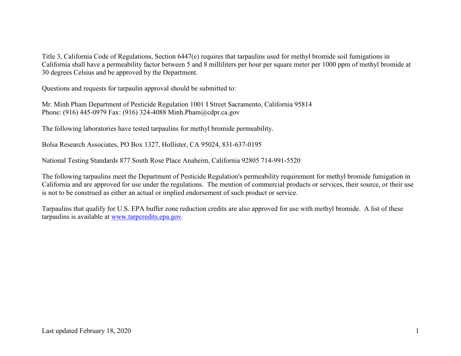Title 3, California Code of Regulations, Section 6447(e) requires that tarpaulins used for methyl bromide soil fumigations in California shall have a permeability factor between 5 and 8 milliliters per hour per square meter per 1000 ppm of methyl bromide at 30 degrees Celsius and be approved by the Department.

Questions and requests for tarpaulin approval should be submitted to:

Mr. Minh Pham Department of Pesticide Regulation 1001 I Street Sacramento, California 95814 Phone: (916) 445-0979 Fax: (916) 324-4088 [Minh.Pham@cdpr.ca.gov](mailto:Minh.Pham@cdpr.ca.gov) 

The following laboratories have tested tarpaulins for methyl bromide permeability.

Bolsa Research Associates, PO Box 1327, Hollister, CA 95024, 831-637-0195

National Testing Standards 877 South Rose Place Anaheim, California 92805 714-991-5520

The following tarpaulins meet the Department of Pesticide Regulation's permeability requirement for methyl bromide fumigation in California and are approved for use under the regulations. The mention of commercial products or services, their source, or their use is not to be construed as either an actual or implied endorsement of such product or service.

Tarpaulins that qualify for U.S. EPA buffer zone reduction credits are also approved for use with methyl bromide. A list of these tarpaulins is available at [www.tarpcredits.epa.gov.](http://www.tarpcredits.epa.gov/)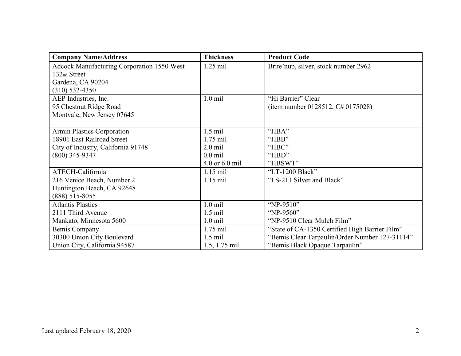| <b>Company Name/Address</b>                       | <b>Thickness</b> | <b>Product Code</b>                            |
|---------------------------------------------------|------------------|------------------------------------------------|
| <b>Adcock Manufacturing Corporation 1550 West</b> | $1.25$ mil       | Brite'nup, silver, stock number 2962           |
| 132 <sub>nd</sub> Street                          |                  |                                                |
| Gardena, CA 90204                                 |                  |                                                |
| $(310)$ 532-4350                                  |                  |                                                |
| AEP Industries, Inc.                              | $1.0$ mil        | "Hi Barrier" Clear                             |
| 95 Chestnut Ridge Road                            |                  | (item number 0128512, $C# 0175028$ )           |
| Montvale, New Jersey 07645                        |                  |                                                |
|                                                   |                  |                                                |
| Armin Plastics Corporation                        | $1.5$ mil        | "HBA"                                          |
| 18901 East Railroad Street                        | $1.75$ mil       | "HBB"                                          |
| City of Industry, California 91748                | $2.0$ mil        | "HBC"                                          |
| $(800)$ 345-9347                                  | $0.0$ mil        | "HBD"                                          |
|                                                   | 4.0 or 6.0 mil   | "HBSWT"                                        |
| ATECH-California                                  | $1.15$ mil       | "LT-1200 Black"                                |
| 216 Venice Beach, Number 2                        | $1.15$ mil       | "LS-211 Silver and Black"                      |
| Huntington Beach, CA 92648                        |                  |                                                |
| $(888)$ 515-8055                                  |                  |                                                |
| <b>Atlantis Plastics</b>                          | $1.0$ mil        | "NP-9510"                                      |
| 2111 Third Avenue                                 | $1.5$ mil        | "NP-9560"                                      |
| Mankato, Minnesota 5600                           | $1.0$ mil        | "NP-9510 Clear Mulch Film"                     |
| <b>Bemis Company</b>                              | $1.75$ mil       | "State of CA-1350 Certified High Barrier Film" |
| 30300 Union City Boulevard                        | $1.5$ mil        | "Bemis Clear Tarpaulin/Order Number 127-31114" |
| Union City, California 94587                      | 1.5, 1.75 mil    | "Bemis Black Opaque Tarpaulin"                 |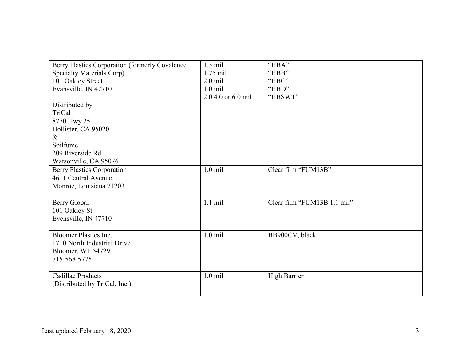| Berry Plastics Corporation (formerly Covalence | $1.5$ mil          | "HBA"                       |
|------------------------------------------------|--------------------|-----------------------------|
| Specialty Materials Corp)                      | $1.75$ mil         | "HBB"                       |
| 101 Oakley Street                              | $2.0$ mil          | "HBC"                       |
| Evansville, IN 47710                           | $1.0$ mil          | "HBD"                       |
|                                                | 2.0 4.0 or 6.0 mil | "HBSWT"                     |
| Distributed by                                 |                    |                             |
| TriCal                                         |                    |                             |
| 8770 Hwy 25                                    |                    |                             |
| Hollister, CA 95020                            |                    |                             |
| $\&$                                           |                    |                             |
| Soilfume                                       |                    |                             |
| 209 Riverside Rd                               |                    |                             |
| Watsonville, CA 95076                          |                    |                             |
| <b>Berry Plastics Corporation</b>              | $1.0$ mil          | Clear film "FUM13B"         |
| 4611 Central Avenue                            |                    |                             |
| Monroe, Louisiana 71203                        |                    |                             |
|                                                |                    |                             |
| Berry Global                                   | $1.1$ mil          | Clear film "FUM13B 1.1 mil" |
| 101 Oakley St.                                 |                    |                             |
| Evensville, IN 47710                           |                    |                             |
|                                                |                    |                             |
| <b>Bloomer Plastics Inc.</b>                   | $1.0$ mil          | BB900CV, black              |
| 1710 North Industrial Drive                    |                    |                             |
| Bloomer, WI 54729                              |                    |                             |
| 715-568-5775                                   |                    |                             |
|                                                |                    |                             |
| Cadillac Products                              | $1.0$ mil          | <b>High Barrier</b>         |
| (Distributed by TriCal, Inc.)                  |                    |                             |
|                                                |                    |                             |
|                                                |                    |                             |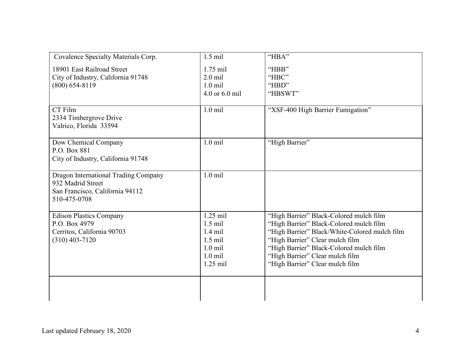| Covalence Specialty Materials Corp.                                                                          | $1.5$ mil                                                                                 | "HBA"                                                                                                                                                                                                                                                                                   |
|--------------------------------------------------------------------------------------------------------------|-------------------------------------------------------------------------------------------|-----------------------------------------------------------------------------------------------------------------------------------------------------------------------------------------------------------------------------------------------------------------------------------------|
| 18901 East Railroad Street<br>City of Industry, California 91748<br>$(800)$ 654-8119                         | $1.75$ mil<br>$2.0$ mil<br>$1.0$ mil<br>4.0 or 6.0 mil                                    | "HBB"<br>"HBC"<br>"HBD"<br>"HBSWT"                                                                                                                                                                                                                                                      |
| CT Film<br>2334 Timbergrove Drive<br>Valrico, Florida 33594                                                  | $1.0$ mil                                                                                 | "XSF-400 High Barrier Fumigation"                                                                                                                                                                                                                                                       |
| Dow Chemical Company<br>P.O. Box 881<br>City of Industry, California 91748                                   | $1.0$ mil                                                                                 | "High Barrier"                                                                                                                                                                                                                                                                          |
| Dragon International Trading Company<br>932 Madrid Street<br>San Francisco, California 94112<br>510-475-0708 | $1.0$ mil                                                                                 |                                                                                                                                                                                                                                                                                         |
| <b>Edison Plastics Company</b><br>P.O. Box 4979<br>Cerritos, California 90703<br>$(310)$ 403-7120            | $1.25$ mil<br>$1.5$ mil<br>$1.4$ mil<br>$1.5$ mil<br>$1.0$ mil<br>$1.0$ mil<br>$1.25$ mil | "High Barrier" Black-Colored mulch film<br>"High Barrier" Black-Colored mulch film<br>"High Barrier" Black/White-Colored mulch film<br>"High Barrier" Clear mulch film<br>"High Barrier" Black-Colored mulch film<br>"High Barrier" Clear mulch film<br>"High Barrier" Clear mulch film |
|                                                                                                              |                                                                                           |                                                                                                                                                                                                                                                                                         |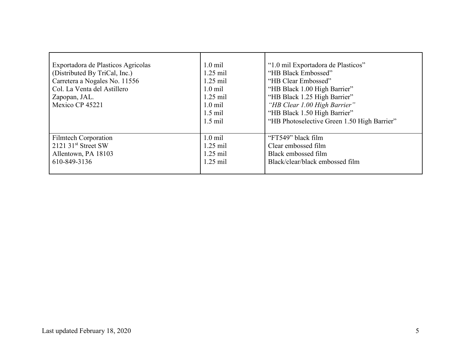| Exportadora de Plasticos Agricolas<br>(Distributed By TriCal, Inc.)<br>Carretera a Nogales No. 11556<br>Col. La Venta del Astillero<br>Zapopan, JAL.<br>Mexico CP 45221 | $1.0 \text{ mil}$<br>$1.25$ mil<br>$1.25$ mil<br>$1.0 \text{ mil}$<br>$1.25$ mil<br>$1.0$ mil<br>$1.5$ mil<br>$1.5$ mil | "1.0 mil Exportadora de Plasticos"<br>"HB Black Embossed"<br>"HB Clear Embossed"<br>"HB Black 1.00 High Barrier"<br>"HB Black 1.25 High Barrier"<br>"HB Clear 1.00 High Barrier"<br>"HB Black 1.50 High Barrier"<br>"HB Photoselective Green 1.50 High Barrier" |
|-------------------------------------------------------------------------------------------------------------------------------------------------------------------------|-------------------------------------------------------------------------------------------------------------------------|-----------------------------------------------------------------------------------------------------------------------------------------------------------------------------------------------------------------------------------------------------------------|
| <b>Filmtech Corporation</b><br>$2121$ 31 <sup>st</sup> Street SW<br>Allentown, PA 18103<br>610-849-3136                                                                 | $1.0$ mil<br>$1.25$ mil<br>$1.25$ mil<br>$1.25$ mil                                                                     | "FT549" black film<br>Clear embossed film<br>Black embossed film<br>Black/clear/black embossed film                                                                                                                                                             |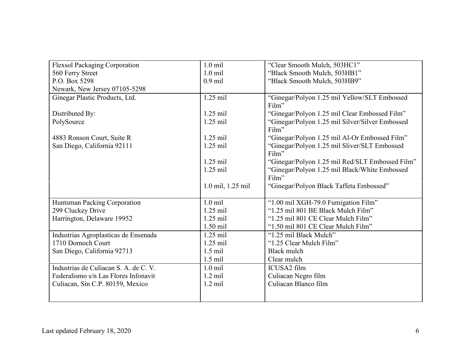| <b>Flexsol Packaging Corporation</b>  | $1.0$ mil         | "Clear Smooth Mulch, 503HC1"                             |
|---------------------------------------|-------------------|----------------------------------------------------------|
| 560 Ferry Street                      | $1.0$ mil         | "Black Smooth Mulch, 503HB1"                             |
| P.O. Box 5298                         | $0.9$ mil         | "Black Smooth Mulch, 503HB9"                             |
| Newark, New Jersey 07105-5298         |                   |                                                          |
| Ginegar Plastic Products, Ltd.        | $1.25$ mil        | "Ginegar/Polyon 1.25 mil Yellow/SLT Embossed<br>Film"    |
| Distributed By:                       | $1.25$ mil        | "Ginegar/Polyon 1.25 mil Clear Embossed Film"            |
| PolySource                            | $1.25$ mil        | "Ginegar/Polyon 1.25 mil Silver/Silver Embossed<br>Film" |
| 4883 Ronson Court, Suite R            | 1.25 mil          | "Ginegar/Polyon 1.25 mil Al-Or Embossed Film"            |
| San Diego, California 92111           | 1.25 mil          | "Ginegar/Polyon 1.25 mil Sliver/SLT Embossed<br>Film"    |
|                                       | $1.25$ mil        | "Ginegar/Polyon 1.25 mil Red/SLT Embossed Film"          |
|                                       | $1.25$ mil        | "Ginegar/Polyon 1.25 mil Black/White Embossed            |
|                                       |                   | Film"                                                    |
|                                       | 1.0 mil, 1.25 mil | "Ginegar/Polyon Black Taffeta Embossed"                  |
|                                       |                   |                                                          |
| Huntsman Packing Corporation          | $1.0$ mil         | "1.00 mil XGH-79.0 Fumigation Film"                      |
| 299 Cluckey Drive                     | $1.25$ mil        | "1.25 mil 801 BE Black Mulch Film"                       |
| Harrington, Delaware 19952            | 1.25 mil          | "1.25 mil 801 CE Clear Mulch Film"                       |
|                                       | $1.50$ mil        | "1.50 mil 801 CE Clear Mulch Film"                       |
| Industrias Agroplasticas de Ensenada  | $1.25$ mil        | "1.25 mil Black Mulch"                                   |
| 1710 Dornoch Court                    | $1.25$ mil        | "1.25 Clear Mulch Film"                                  |
| San Diego, California 92713           | $1.5$ mil         | <b>Black mulch</b>                                       |
|                                       | $1.5$ mil         | Clear mulch                                              |
| Industrias de Culiacan S. A. de C. V. | $1.0$ mil         | ICUSA2 film                                              |
| Federalismo s/n Las Flores Infonavit  | $1.2$ mil         | Culiacan Negro film                                      |
| Culiacan, Sin C.P. 80159, Mexico      | $1.2$ mil         | Culiacan Blanco film                                     |
|                                       |                   |                                                          |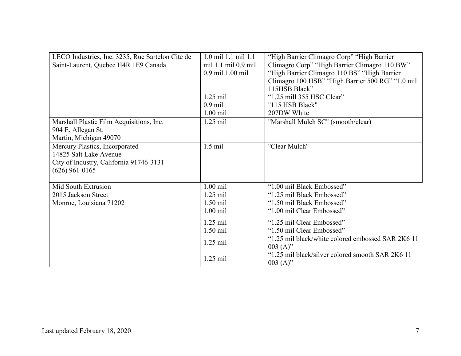| LECO Industries, Inc. 3235, Rue Sartelon Cite de | 1.0 mil 1.1 mil 1.1 | "High Barrier Climagro Corp" "High Barrier        |
|--------------------------------------------------|---------------------|---------------------------------------------------|
| Saint-Laurent, Quebec H4R 1E9 Canada             | mil 1.1 mil 0.9 mil | Climagro Corp" "High Barrier Climagro 110 BW"     |
|                                                  | 0.9 mil 1.00 mil    | "High Barrier Climagro 110 BS" "High Barrier"     |
|                                                  |                     | Climagro 100 HSB" "High Barrier 500 RG" "1.0 mil  |
|                                                  |                     | 115HSB Black"                                     |
|                                                  | $1.25$ mil          | "1.25 mill 355 HSC Clear"                         |
|                                                  | $0.9$ mil           | "115 HSB Black"                                   |
|                                                  | $1.00$ mil          | 207DW White                                       |
| Marshall Plastic Film Acquisitions, Inc.         | $1.25$ mil          | "Marshall Mulch SC" (smooth/clear)                |
| 904 E. Allegan St.                               |                     |                                                   |
| Martin, Michigan 49070                           |                     |                                                   |
| Mercury Plastics, Incorporated                   | $1.5$ mil           | "Clear Mulch"                                     |
| 14825 Salt Lake Avenue                           |                     |                                                   |
| City of Industry, California 91746-3131          |                     |                                                   |
| $(626)$ 961-0165                                 |                     |                                                   |
|                                                  |                     |                                                   |
| Mid South Extrusion                              | $1.00$ mil          | "1.00 mil Black Embossed"                         |
| 2015 Jackson Street                              | $1.25$ mil          | "1.25 mil Black Embossed"                         |
| Monroe, Louisiana 71202                          | $1.50$ mil          | "1.50 mil Black Embossed"                         |
|                                                  | $1.00$ mil          | "1.00 mil Clear Embossed"                         |
|                                                  | $1.25$ mil          | "1.25 mil Clear Embossed"                         |
|                                                  | $1.50$ mil          | "1.50 mil Clear Embossed"                         |
|                                                  |                     | "1.25 mil black/white colored embossed SAR 2K6 11 |
|                                                  | $1.25$ mil          | $003(A)$ "                                        |
|                                                  | $1.25$ mil          | "1.25 mil black/silver colored smooth SAR 2K6 11  |
|                                                  |                     | $003(A)$ "                                        |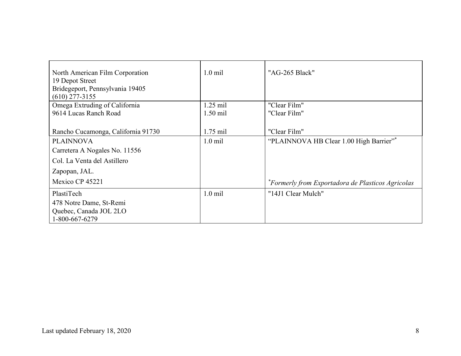| North American Film Corporation<br>19 Depot Street<br>Bridegeport, Pennsylvania 19405<br>$(610)$ 277-3155 | $1.0$ mil  | "AG-265 Black"                                    |
|-----------------------------------------------------------------------------------------------------------|------------|---------------------------------------------------|
| Omega Extruding of California                                                                             | $1.25$ mil | "Clear Film"                                      |
| 9614 Lucas Ranch Road                                                                                     | $1.50$ mil | "Clear Film"                                      |
|                                                                                                           |            |                                                   |
| Rancho Cucamonga, California 91730                                                                        | $1.75$ mil | "Clear Film"                                      |
| <b>PLAINNOVA</b>                                                                                          | $1.0$ mil  | "PLAINNOVA HB Clear 1.00 High Barrier"*           |
| Carretera A Nogales No. 11556                                                                             |            |                                                   |
| Col. La Venta del Astillero                                                                               |            |                                                   |
| Zapopan, JAL.                                                                                             |            |                                                   |
| Mexico CP 45221                                                                                           |            | *Formerly from Exportadora de Plasticos Agricolas |
| PlastiTech                                                                                                | $1.0$ mil  | "14J1 Clear Mulch"                                |
| 478 Notre Dame, St-Remi                                                                                   |            |                                                   |
| Quebec, Canada JOL 2LO                                                                                    |            |                                                   |
| 1-800-667-6279                                                                                            |            |                                                   |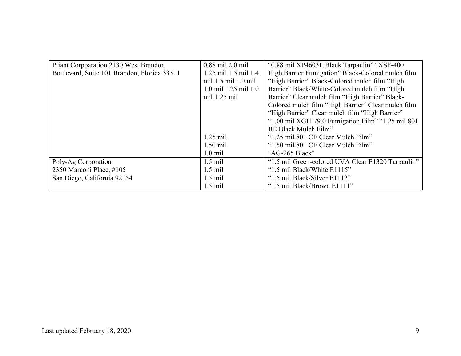| Pliant Corpoaration 2130 West Brandon       | $0.88$ mil $2.0$ mil | "0.88 mil XP4603L Black Tarpaulin" "XSF-400"       |
|---------------------------------------------|----------------------|----------------------------------------------------|
| Boulevard, Suite 101 Brandon, Florida 33511 | 1.25 mil 1.5 mil 1.4 | High Barrier Fumigation" Black-Colored mulch film  |
|                                             | mil 1.5 mil 1.0 mil  | "High Barrier" Black-Colored mulch film "High      |
|                                             | 1.0 mil 1.25 mil 1.0 | Barrier" Black/White-Colored mulch film "High      |
|                                             | mil 1.25 mil         | Barrier" Clear mulch film "High Barrier" Black-    |
|                                             |                      | Colored mulch film "High Barrier" Clear mulch film |
|                                             |                      | "High Barrier" Clear mulch film "High Barrier"     |
|                                             |                      | "1.00 mil XGH-79.0 Fumigation Film" "1.25 mil 801  |
|                                             |                      | BE Black Mulch Film"                               |
|                                             | $1.25$ mil           | "1.25 mil 801 CE Clear Mulch Film"                 |
|                                             | $1.50$ mil           | "1.50 mil 801 CE Clear Mulch Film"                 |
|                                             | $1.0 \text{ mil}$    | "AG-265 Black"                                     |
| Poly-Ag Corporation                         | $1.5$ mil            | "1.5 mil Green-colored UVA Clear E1320 Tarpaulin"  |
| 2350 Marconi Place, #105                    | $1.5$ mil            | "1.5 mil Black/White E1115"                        |
| San Diego, California 92154                 | $1.5$ mil            | "1.5 mil Black/Silver E1112"                       |
|                                             | $1.5$ mil            | "1.5 mil Black/Brown E1111"                        |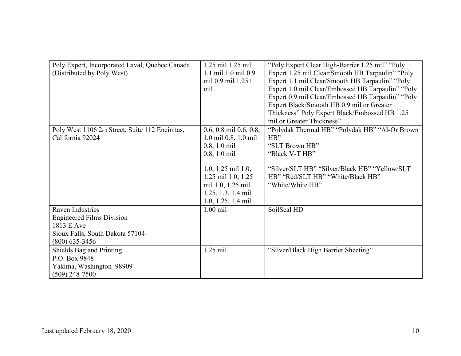| Poly Expert, Incorporated Laval, Quebec Canada  | 1.25 mil 1.25 mil           | "Poly Expert Clear High-Barrier 1.25 mil" "Poly"  |
|-------------------------------------------------|-----------------------------|---------------------------------------------------|
| (Distributed by Poly West)                      | 1.1 mil 1.0 mil 0.9         | Expert 1.25 mil Clear/Smooth HB Tarpaulin" "Poly  |
|                                                 | mil 0.9 mil 1.25+           | Expert 1.1 mil Clear/Smooth HB Tarpaulin" "Poly   |
|                                                 | mil                         | Expert 1.0 mil Clear/Embossed HB Tarpaulin" "Poly |
|                                                 |                             | Expert 0.9 mil Clear/Embossed HB Tarpaulin" "Poly |
|                                                 |                             | Expert Black/Smooth HB 0.9 mil or Greater         |
|                                                 |                             | Thickness" Poly Expert Black/Embossed HB 1.25     |
|                                                 |                             | mil or Greater Thickness"                         |
| Poly West 1106 2nd Street, Suite 112 Encinitas, | $0.6, 0.8$ mil $0.6, 0.8$ , | "Polydak Thermal HB" "Polydak HB" "Al-Or Brown    |
| California 92024                                | 1.0 mil 0.8, 1.0 mil        | HB"                                               |
|                                                 | $0.8, 1.0$ mil              | "SLT Brown HB"                                    |
|                                                 | $0.8, 1.0 \text{ mil}$      | "Black V-T HB"                                    |
|                                                 |                             |                                                   |
|                                                 | 1.0, 1.25 mil 1.0,          | "Silver/SLT HB" "Silver/Black HB" "Yellow/SLT"    |
|                                                 | 1.25 mil 1.0, 1.25          | HB" "Red/SLT HB" "White/Black HB"                 |
|                                                 | mil 1.0, 1.25 mil           | "White/White HB"                                  |
|                                                 | 1.25, 1.3, 1.4 mil          |                                                   |
|                                                 | $1.0, 1.25, 1.4$ mil        |                                                   |
| Raven Industries                                | $1.00$ mil                  | SoilSeal HD                                       |
| <b>Engineered Films Division</b>                |                             |                                                   |
| 1813 E Ave                                      |                             |                                                   |
| Sioux Falls, South Dakota 57104                 |                             |                                                   |
| $(800)$ 635-3456                                |                             |                                                   |
| Shields Bag and Printing                        | $1.25$ mil                  | "Silver/Black High Barrier Sheeting"              |
| P.O. Box 9848                                   |                             |                                                   |
| Yakima, Washington 98909                        |                             |                                                   |
| $(509)$ 248-7500                                |                             |                                                   |